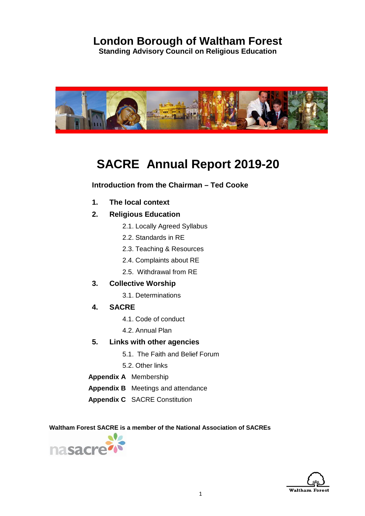## **London Borough of Waltham Forest**

**Standing Advisory Council on Religious Education**



# **SACRE Annual Report 2019-20**

## **Introduction from the Chairman – Ted Cooke**

- **1. The local context**
- **2. Religious Education**
	- 2.1. Locally Agreed Syllabus
	- 2.2. Standards in RE
	- 2.3. Teaching & Resources
	- 2.4. Complaints about RE
	- 2.5. Withdrawal from RE
- **3. Collective Worship**
	- 3.1. Determinations
- **4. SACRE** 
	- 4.1. Code of conduct
	- 4.2. Annual Plan
- **5. Links with other agencies**
	- 5.1. The Faith and Belief Forum
	- 5.2. Other links
- **Appendix A** Membership
- **Appendix B** Meetings and attendance
- **Appendix C** SACRE Constitution

 **Waltham Forest SACRE is a member of the National Association of SACREs**



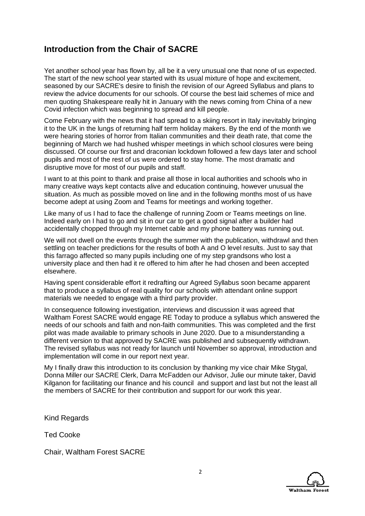## **Introduction from the Chair of SACRE**

Yet another school year has flown by, all be it a very unusual one that none of us expected. The start of the new school year started with its usual mixture of hope and excitement, seasoned by our SACRE's desire to finish the revision of our Agreed Syllabus and plans to review the advice documents for our schools. Of course the best laid schemes of mice and men quoting Shakespeare really hit in January with the news coming from China of a new Covid infection which was beginning to spread and kill people.

Come February with the news that it had spread to a skiing resort in Italy inevitably bringing it to the UK in the lungs of returning half term holiday makers. By the end of the month we were hearing stories of horror from Italian communities and their death rate, that come the beginning of March we had hushed whisper meetings in which school closures were being discussed. Of course our first and draconian lockdown followed a few days later and school pupils and most of the rest of us were ordered to stay home. The most dramatic and disruptive move for most of our pupils and staff.

I want to at this point to thank and praise all those in local authorities and schools who in many creative ways kept contacts alive and education continuing, however unusual the situation. As much as possible moved on line and in the following months most of us have become adept at using Zoom and Teams for meetings and working together.

Like many of us I had to face the challenge of running Zoom or Teams meetings on line. Indeed early on I had to go and sit in our car to get a good signal after a builder had accidentally chopped through my Internet cable and my phone battery was running out.

We will not dwell on the events through the summer with the publication, withdrawl and then settling on teacher predictions for the results of both A and O level results. Just to say that this farrago affected so many pupils including one of my step grandsons who lost a university place and then had it re offered to him after he had chosen and been accepted elsewhere.

Having spent considerable effort it redrafting our Agreed Syllabus soon became apparent that to produce a syllabus of real quality for our schools with attendant online support materials we needed to engage with a third party provider.

In consequence following investigation, interviews and discussion it was agreed that Waltham Forest SACRE would engage RE Today to produce a syllabus which answered the needs of our schools and faith and non-faith communities. This was completed and the first pilot was made available to primary schools in June 2020. Due to a misunderstanding a different version to that approved by SACRE was published and subsequently withdrawn. The revised syllabus was not ready for launch until November so approval, introduction and implementation will come in our report next year.

My I finally draw this introduction to its conclusion by thanking my vice chair Mike Stygal, Donna Miller our SACRE Clerk, Darra McFadden our Advisor, Julie our minute taker, David Kilganon for facilitating our finance and his council and support and last but not the least all the members of SACRE for their contribution and support for our work this year.

Kind Regards

Ted Cooke

Chair, Waltham Forest SACRE

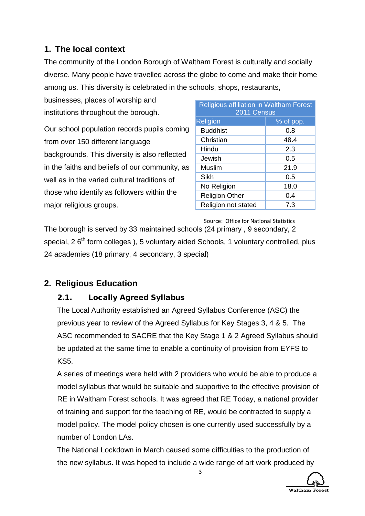## **1. The local context**

The community of the London Borough of Waltham Forest is culturally and socially diverse. Many people have travelled across the globe to come and make their home among us. This diversity is celebrated in the schools, shops, restaurants,

businesses, places of worship and institutions throughout the borough.

Our school population records pupils coming from over 150 different language backgrounds. This diversity is also reflected in the faiths and beliefs of our community, as well as in the varied cultural traditions of those who identify as followers within the major religious groups.

| <b>Religious affiliation in Waltham Forest</b><br>2011 Census |           |  |
|---------------------------------------------------------------|-----------|--|
| Religion                                                      | % of pop. |  |
| <b>Buddhist</b>                                               | 0.8       |  |
| Christian                                                     | 48.4      |  |
| Hindu                                                         | 2.3       |  |
| Jewish                                                        | 0.5       |  |
| Muslim                                                        | 21.9      |  |
| Sikh                                                          | 0.5       |  |
| No Religion                                                   | 18.0      |  |
| <b>Religion Other</b>                                         | 0.4       |  |
| Religion not stated                                           | 7.3       |  |

Source: Office for National Statistics

The borough is served by 33 maintained schools (24 primary , 9 secondary, 2 special, 2 6<sup>th</sup> form colleges ), 5 voluntary aided Schools, 1 voluntary controlled, plus 24 academies (18 primary, 4 secondary, 3 special)

## **2. Religious Education**

## 2.1. Locally Agreed Syllabus

The Local Authority established an Agreed Syllabus Conference (ASC) the previous year to review of the Agreed Syllabus for Key Stages 3, 4 & 5. The ASC recommended to SACRE that the Key Stage 1 & 2 Agreed Syllabus should be updated at the same time to enable a continuity of provision from EYFS to KS5.

A series of meetings were held with 2 providers who would be able to produce a model syllabus that would be suitable and supportive to the effective provision of RE in Waltham Forest schools. It was agreed that RE Today, a national provider of training and support for the teaching of RE, would be contracted to supply a model policy. The model policy chosen is one currently used successfully by a number of London LAs.

The National Lockdown in March caused some difficulties to the production of the new syllabus. It was hoped to include a wide range of art work produced by

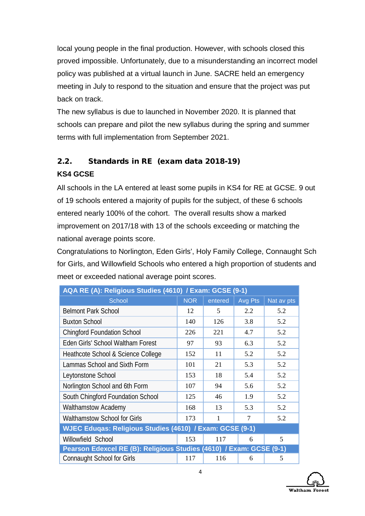local young people in the final production. However, with schools closed this proved impossible. Unfortunately, due to a misunderstanding an incorrect model policy was published at a virtual launch in June. SACRE held an emergency meeting in July to respond to the situation and ensure that the project was put back on track.

The new syllabus is due to launched in November 2020. It is planned that schools can prepare and pilot the new syllabus during the spring and summer terms with full implementation from September 2021.

## 2.2. Standards in RE (exam data 2018-19) **KS4 GCSE**

All schools in the LA entered at least some pupils in KS4 for RE at GCSE. 9 out of 19 schools entered a majority of pupils for the subject, of these 6 schools entered nearly 100% of the cohort. The overall results show a marked improvement on 2017/18 with 13 of the schools exceeding or matching the national average points score.

Congratulations to Norlington, Eden Girls', Holy Family College, Connaught Sch for Girls, and Willowfield Schools who entered a high proportion of students and meet or exceeded national average point scores.

| AQA RE (A): Religious Studies (4610) / Exam: GCSE (9-1)             |            |         |         |            |
|---------------------------------------------------------------------|------------|---------|---------|------------|
| <b>School</b>                                                       | <b>NOR</b> | entered | Avg Pts | Nat av pts |
| <b>Belmont Park School</b>                                          | 12         | 5       | 2.2     | 5.2        |
| <b>Buxton School</b>                                                | 140        | 126     | 3.8     | 5.2        |
| <b>Chingford Foundation School</b>                                  | 226        | 221     | 4.7     | 5.2        |
| Eden Girls' School Waltham Forest                                   | 97         | 93      | 6.3     | 5.2        |
| Heathcote School & Science College                                  | 152        | 11      | 5.2     | 5.2        |
| Lammas School and Sixth Form                                        | 101        | 21      | 5.3     | 5.2        |
| Leytonstone School                                                  | 153        | 18      | 5.4     | 5.2        |
| Norlington School and 6th Form                                      | 107        | 94      | 5.6     | 5.2        |
| South Chingford Foundation School                                   | 125        | 46      | 1.9     | 5.2        |
| <b>Walthamstow Academy</b>                                          | 168        | 13      | 5.3     | 5.2        |
| <b>Walthamstow School for Girls</b>                                 | 173        | 1       | 7       | 5.2        |
| WJEC Eduqas: Religious Studies (4610) / Exam: GCSE (9-1)            |            |         |         |            |
| Willowfield School                                                  | 153        | 117     | 6       | 5          |
| Pearson Edexcel RE (B): Religious Studies (4610) / Exam: GCSE (9-1) |            |         |         |            |
| <b>Connaught School for Girls</b>                                   | 117        | 116     | 6       | 5          |

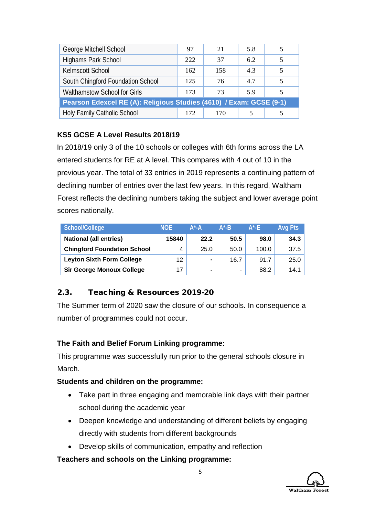| George Mitchell School                                              | 97  | 21  | 5.8 |  |
|---------------------------------------------------------------------|-----|-----|-----|--|
| Highams Park School                                                 | 222 | 37  | 6.2 |  |
| Kelmscott School                                                    | 162 | 158 | 4.3 |  |
| South Chingford Foundation School                                   | 125 | 76  | 4.7 |  |
| Walthamstow School for Girls                                        | 173 | 73  | 5.9 |  |
| Pearson Edexcel RE (A): Religious Studies (4610) / Exam: GCSE (9-1) |     |     |     |  |
| Holy Family Catholic School                                         | 172 | 170 |     |  |

## **KS5 GCSE A Level Results 2018/19**

In 2018/19 only 3 of the 10 schools or colleges with 6th forms across the LA entered students for RE at A level. This compares with 4 out of 10 in the previous year. The total of 33 entries in 2019 represents a continuing pattern of declining number of entries over the last few years. In this regard, Waltham Forest reflects the declining numbers taking the subject and lower average point scores nationally.

| School/College                     | <b>NOE</b> | $A^*A$         | $A^*$ -B | $A^{\star}$ -E | <b>Avg Pts</b> |
|------------------------------------|------------|----------------|----------|----------------|----------------|
| <b>National (all entries)</b>      | 15840      | 22.2           | 50.5     | 98.0           | 34.3           |
| <b>Chingford Foundation School</b> | 4          | 25.0           | 50.0     | 100.0          | 37.5           |
| <b>Leyton Sixth Form College</b>   | 12         | $\blacksquare$ | 16.7     | 91.7           | 25.0           |
| <b>Sir George Monoux College</b>   | 17         | $\blacksquare$ | -        | 88.2           | 14.1           |

## 2.3. Teaching & Resources 2019-20

The Summer term of 2020 saw the closure of our schools. In consequence a number of programmes could not occur.

## **The Faith and Belief Forum Linking programme:**

This programme was successfully run prior to the general schools closure in March.

## **Students and children on the programme:**

- Take part in three engaging and memorable link days with their partner school during the academic year
- Deepen knowledge and understanding of different beliefs by engaging directly with students from different backgrounds
- Develop skills of communication, empathy and reflection

## **Teachers and schools on the Linking programme:**

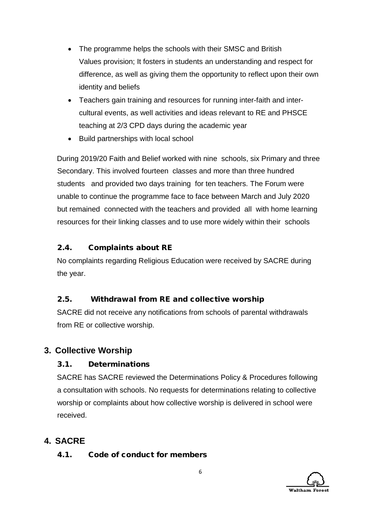- The programme helps the schools with their SMSC and British Values provision; It fosters in students an understanding and respect for difference, as well as giving them the opportunity to reflect upon their own identity and beliefs
- Teachers gain training and resources for running inter-faith and intercultural events, as well activities and ideas relevant to RE and PHSCE teaching at 2/3 CPD days during the academic year
- Build partnerships with local school

During 2019/20 Faith and Belief worked with nine schools, six Primary and three Secondary. This involved fourteen classes and more than three hundred students and provided two days training for ten teachers. The Forum were unable to continue the programme face to face between March and July 2020 but remained connected with the teachers and provided all with home learning resources for their linking classes and to use more widely within their schools

## 2.4. Complaints about RE

No complaints regarding Religious Education were received by SACRE during the year.

## 2.5. Withdrawal from RE and collective worship

SACRE did not receive any notifications from schools of parental withdrawals from RE or collective worship.

## **3. Collective Worship**

## 3.1. Determinations

SACRE has SACRE reviewed the Determinations Policy & Procedures following a consultation with schools. No requests for determinations relating to collective worship or complaints about how collective worship is delivered in school were received.

## **4. SACRE**

## 4.1. Code of conduct for members

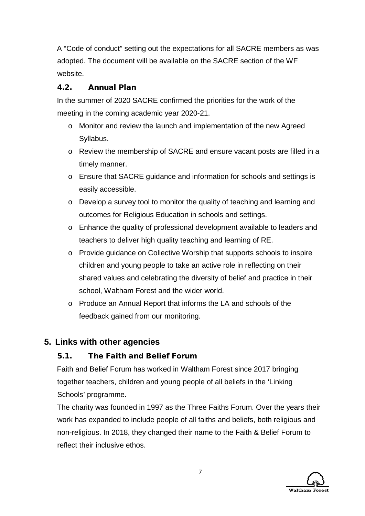A "Code of conduct" setting out the expectations for all SACRE members as was adopted. The document will be available on the SACRE section of the WF website.

## 4.2. Annual Plan

In the summer of 2020 SACRE confirmed the priorities for the work of the meeting in the coming academic year 2020-21.

- o Monitor and review the launch and implementation of the new Agreed Syllabus.
- o Review the membership of SACRE and ensure vacant posts are filled in a timely manner.
- o Ensure that SACRE guidance and information for schools and settings is easily accessible.
- o Develop a survey tool to monitor the quality of teaching and learning and outcomes for Religious Education in schools and settings.
- o Enhance the quality of professional development available to leaders and teachers to deliver high quality teaching and learning of RE.
- o Provide guidance on Collective Worship that supports schools to inspire children and young people to take an active role in reflecting on their shared values and celebrating the diversity of belief and practice in their school, Waltham Forest and the wider world.
- o Produce an Annual Report that informs the LA and schools of the feedback gained from our monitoring.

## **5. Links with other agencies**

## 5.1. The Faith and Belief Forum

Faith and Belief Forum has worked in Waltham Forest since 2017 bringing together teachers, children and young people of all beliefs in the 'Linking Schools' programme.

The charity was founded in 1997 as the Three Faiths Forum. Over the years their work has expanded to include people of all faiths and beliefs, both religious and non-religious. In 2018, they changed their name to the Faith & Belief Forum to reflect their inclusive ethos.

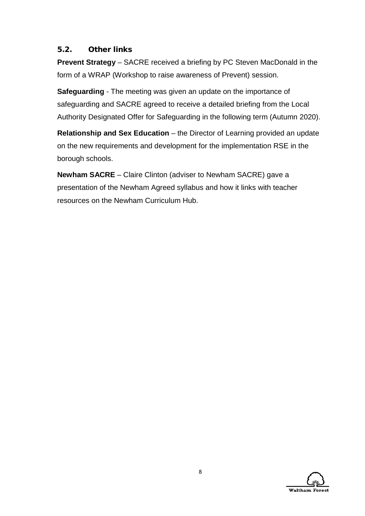### 5.2. Other links

**Prevent Strategy** – SACRE received a briefing by PC Steven MacDonald in the form of a WRAP (Workshop to raise awareness of Prevent) session.

**Safeguarding** - The meeting was given an update on the importance of safeguarding and SACRE agreed to receive a detailed briefing from the Local Authority Designated Offer for Safeguarding in the following term (Autumn 2020).

**Relationship and Sex Education** – the Director of Learning provided an update on the new requirements and development for the implementation RSE in the borough schools.

**Newham SACRE** – Claire Clinton (adviser to Newham SACRE) gave a presentation of the Newham Agreed syllabus and how it links with teacher resources on the Newham Curriculum Hub.

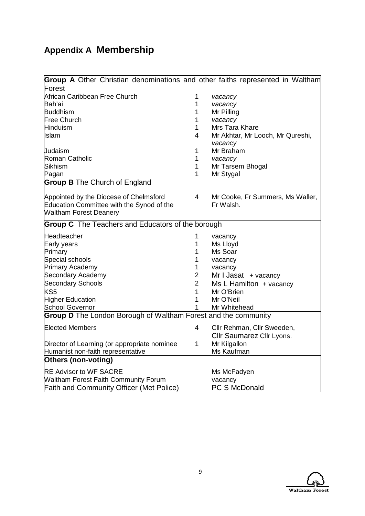# **Appendix A Membership**

| Group A Other Christian denominations and other faiths represented in Waltham |                |                                  |
|-------------------------------------------------------------------------------|----------------|----------------------------------|
| Forest                                                                        |                |                                  |
| African Caribbean Free Church                                                 | 1              | vacancy                          |
| lBah'ai                                                                       | 1              | vacancy                          |
| <b>Buddhism</b>                                                               | 1              | Mr Pilling                       |
| <b>Free Church</b>                                                            | 1              | vacancy                          |
| <b>Hinduism</b>                                                               | 1              | Mrs Tara Khare                   |
| Islam                                                                         | 4              | Mr Akhtar, Mr Looch, Mr Qureshi, |
|                                                                               |                | vacancy                          |
| Judaism                                                                       | 1              | Mr Braham                        |
| Roman Catholic                                                                | 1              | vacancy                          |
| Sikhism                                                                       | 1              | Mr Tarsem Bhogal                 |
| Pagan                                                                         | 1              | Mr Stygal                        |
| <b>Group B</b> The Church of England                                          |                |                                  |
| Appointed by the Diocese of Chelmsford                                        | $\overline{4}$ | Mr Cooke, Fr Summers, Ms Waller, |
| Education Committee with the Synod of the                                     |                | Fr Walsh.                        |
| <b>Waltham Forest Deanery</b>                                                 |                |                                  |
| <b>Group C</b> The Teachers and Educators of the borough                      |                |                                  |
|                                                                               |                |                                  |
| Headteacher                                                                   | 1              | vacancy                          |
| Early years                                                                   | 1              | Ms Lloyd                         |
| Primary                                                                       | 1              | Ms Soar                          |
| Special schools                                                               | 1              | vacancy                          |
| Primary Academy                                                               | 1              | vacancy                          |
| <b>Secondary Academy</b>                                                      | $\overline{2}$ | Mr I Jasat + vacancy             |
| <b>Secondary Schools</b>                                                      | $\overline{2}$ | $Ms L$ Hamilton + vacancy        |
| KS5                                                                           | 1              | Mr O'Brien                       |
| <b>Higher Education</b>                                                       | 1              | Mr O'Neil                        |
| <b>School Governor</b>                                                        | 1              | Mr Whitehead                     |
| <b>Group D</b> The London Borough of Waltham Forest and the community         |                |                                  |
| <b>Elected Members</b>                                                        | 4              | Cllr Rehman, Cllr Sweeden,       |
|                                                                               |                | Cllr Saumarez Cllr Lyons.        |
| Director of Learning (or appropriate nominee                                  | $\mathbf{1}$   | Mr Kilgallon                     |
| Humanist non-faith representative                                             |                | Ms Kaufman                       |
| Others (non-voting)                                                           |                |                                  |
| <b>RE Advisor to WF SACRE</b>                                                 |                | Ms McFadyen                      |
| <b>Waltham Forest Faith Community Forum</b>                                   |                | vacancy                          |
| <b>Faith and Community Officer (Met Police)</b>                               |                | <b>PC S McDonald</b>             |

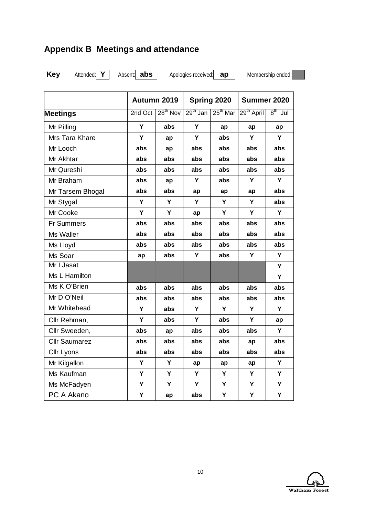## **Appendix B Meetings and attendance**

**Key** Attended: **Y** Absent: **abs** Apologies received: **ap** Membership ended:

|                      | Autumn 2019 |                      | Spring 2020 |            | Summer 2020            |           |
|----------------------|-------------|----------------------|-------------|------------|------------------------|-----------|
| <b>Meetings</b>      | 2nd Oct     | 28 <sup>th</sup> Nov | $29th$ Jan  | $25th$ Mar | 29 <sup>th</sup> April | $8th$ Jul |
| Mr Pilling           | Y           | abs                  | Y           | ap         | ap                     | ap        |
| Mrs Tara Khare       | Y           | ap                   | Y           | abs        | Υ                      | Y         |
| Mr Looch             | abs         | ap                   | abs         | abs        | abs                    | abs       |
| Mr Akhtar            | abs         | abs                  | abs         | abs        | abs                    | abs       |
| Mr Qureshi           | abs         | abs                  | abs         | abs        | abs                    | abs       |
| Mr Braham            | abs         | ap                   | Y           | abs        | Y                      | Υ         |
| Mr Tarsem Bhogal     | abs         | abs                  | ap          | ap         | ap                     | abs       |
| Mr Stygal            | Y           | Y                    | Y           | Y          | Y                      | abs       |
| Mr Cooke             | Y           | Y                    | ap          | Y          | Y                      | Y         |
| <b>Fr Summers</b>    | abs         | abs                  | abs         | abs        | abs                    | abs       |
| Ms Waller            | abs         | abs                  | abs         | abs        | abs                    | abs       |
| Ms Lloyd             | abs         | abs                  | abs         | abs        | abs                    | abs       |
| Ms Soar              | ap          | abs                  | Y           | abs        | Y                      | Y         |
| Mr I Jasat           |             |                      |             |            |                        | Υ         |
| Ms L Hamilton        |             |                      |             |            |                        | Y         |
| Ms K O'Brien         | abs         | abs                  | abs         | abs        | abs                    | abs       |
| Mr D O'Neil          | abs         | abs                  | abs         | abs        | abs                    | abs       |
| Mr Whitehead         | Y           | abs                  | Y           | Y          | Y                      | Y         |
| Cllr Rehman,         | Y           | abs                  | Υ           | abs        | Υ                      | ap        |
| Cllr Sweeden,        | abs         | ap                   | abs         | abs        | abs                    | Y         |
| <b>Cllr Saumarez</b> | abs         | abs                  | abs         | abs        | ap                     | abs       |
| Cllr Lyons           | abs         | abs                  | abs         | abs        | abs                    | abs       |
| Mr Kilgallon         | Υ           | Υ                    | ap          | ap         | ap                     | Y         |
| Ms Kaufman           | Y           | Y                    | Y           | Y          | Υ                      | Y         |
| Ms McFadyen          | Y           | Υ                    | Υ           | Y          | Υ                      | Y         |
| PC A Akano           | Υ           | ap                   | abs         | Υ          | Υ                      | Υ         |

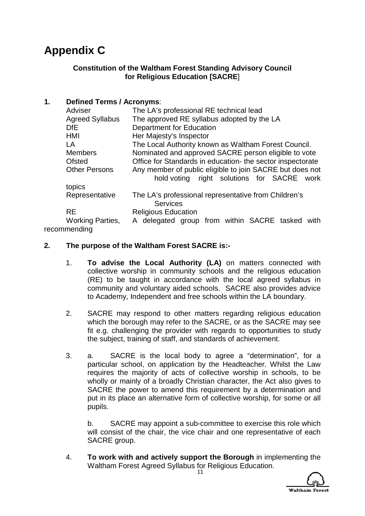# **Appendix C**

### **Constitution of the Waltham Forest Standing Advisory Council for Religious Education [SACRE**]

### **1. Defined Terms / Acronyms**:

| Adviser                 | The LA's professional RE technical lead                                                                |
|-------------------------|--------------------------------------------------------------------------------------------------------|
| <b>Agreed Syllabus</b>  | The approved RE syllabus adopted by the LA                                                             |
| DfE.                    | Department for Education                                                                               |
| HMI                     | Her Majesty's Inspector                                                                                |
| LA                      | The Local Authority known as Waltham Forest Council.                                                   |
| <b>Members</b>          | Nominated and approved SACRE person eligible to vote                                                   |
| Ofsted                  | Office for Standards in education- the sector inspectorate                                             |
| <b>Other Persons</b>    | Any member of public eligible to join SACRE but does not<br>hold voting right solutions for SACRE work |
| topics                  |                                                                                                        |
| Representative          | The LA's professional representative from Children's<br><b>Services</b>                                |
| <b>RE</b>               | <b>Religious Education</b>                                                                             |
| <b>Working Parties,</b> | A delegated group from within SACRE tasked with                                                        |
| recommending            |                                                                                                        |

### **2. The purpose of the Waltham Forest SACRE is:-**

- 1. **To advise the Local Authority (LA)** on matters connected with collective worship in community schools and the religious education (RE) to be taught in accordance with the local agreed syllabus in community and voluntary aided schools. SACRE also provides advice to Academy, Independent and free schools within the LA boundary.
- 2. SACRE may respond to other matters regarding religious education which the borough may refer to the SACRE, or as the SACRE may see fit e.g. challenging the provider with regards to opportunities to study the subject, training of staff, and standards of achievement.
- 3. a. SACRE is the local body to agree a "determination", for a particular school, on application by the Headteacher. Whilst the Law requires the majority of acts of collective worship in schools, to be wholly or mainly of a broadly Christian character, the Act also gives to SACRE the power to amend this requirement by a determination and put in its place an alternative form of collective worship, for some or all pupils.

b. SACRE may appoint a sub-committee to exercise this role which will consist of the chair, the vice chair and one representative of each SACRE group.

4. **To work with and actively support the Borough** in implementing the Waltham Forest Agreed Syllabus for Religious Education.

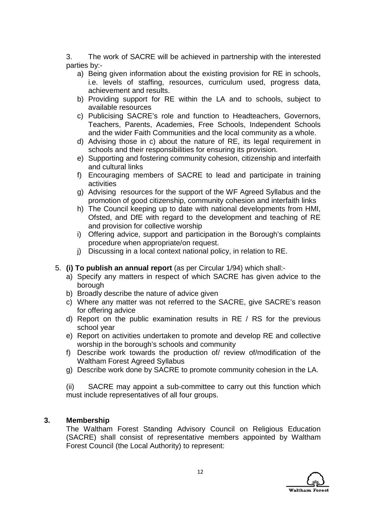3. The work of SACRE will be achieved in partnership with the interested parties by:-

- a) Being given information about the existing provision for RE in schools, i.e. levels of staffing, resources, curriculum used, progress data, achievement and results.
- b) Providing support for RE within the LA and to schools, subject to available resources
- c) Publicising SACRE's role and function to Headteachers, Governors, Teachers, Parents, Academies, Free Schools, Independent Schools and the wider Faith Communities and the local community as a whole.
- d) Advising those in c) about the nature of RE, its legal requirement in schools and their responsibilities for ensuring its provision.
- e) Supporting and fostering community cohesion, citizenship and interfaith and cultural links
- f) Encouraging members of SACRE to lead and participate in training activities
- g) Advising resources for the support of the WF Agreed Syllabus and the promotion of good citizenship, community cohesion and interfaith links
- h) The Council keeping up to date with national developments from HMI, Ofsted, and DfE with regard to the development and teaching of RE and provision for collective worship
- i) Offering advice, support and participation in the Borough's complaints procedure when appropriate/on request.
- j) Discussing in a local context national policy, in relation to RE.
- 5. **(i) To publish an annual report** (as per Circular 1/94) which shall:
	- a) Specify any matters in respect of which SACRE has given advice to the borough
	- b) Broadly describe the nature of advice given
	- c) Where any matter was not referred to the SACRE, give SACRE's reason for offering advice
	- d) Report on the public examination results in RE / RS for the previous school year
	- e) Report on activities undertaken to promote and develop RE and collective worship in the borough's schools and community
	- f) Describe work towards the production of/ review of/modification of the Waltham Forest Agreed Syllabus
	- g) Describe work done by SACRE to promote community cohesion in the LA.

(ii) SACRE may appoint a sub-committee to carry out this function which must include representatives of all four groups.

### **3. Membership**

The Waltham Forest Standing Advisory Council on Religious Education (SACRE) shall consist of representative members appointed by Waltham Forest Council (the Local Authority) to represent:

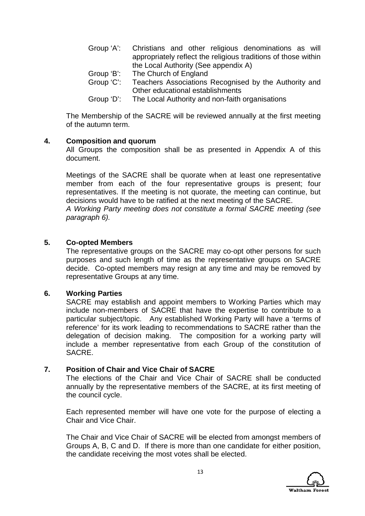|            | Group 'A': Christians and other religious denominations as will |
|------------|-----------------------------------------------------------------|
|            | appropriately reflect the religious traditions of those within  |
|            | the Local Authority (See appendix A)                            |
| Group 'B': | The Church of England                                           |
| Group 'C': | Teachers Associations Recognised by the Authority and           |
|            | Other educational establishments                                |

Group 'D': The Local Authority and non-faith organisations

The Membership of the SACRE will be reviewed annually at the first meeting of the autumn term.

#### **4. Composition and quorum**

All Groups the composition shall be as presented in Appendix A of this document.

Meetings of the SACRE shall be quorate when at least one representative member from each of the four representative groups is present; four representatives. If the meeting is not quorate, the meeting can continue, but decisions would have to be ratified at the next meeting of the SACRE. *A Working Party meeting does not constitute a formal SACRE meeting (see paragraph 6).*

#### **5. Co-opted Members**

The representative groups on the SACRE may co-opt other persons for such purposes and such length of time as the representative groups on SACRE decide. Co-opted members may resign at any time and may be removed by representative Groups at any time.

#### **6. Working Parties**

SACRE may establish and appoint members to Working Parties which may include non-members of SACRE that have the expertise to contribute to a particular subject/topic. Any established Working Party will have a 'terms of reference' for its work leading to recommendations to SACRE rather than the delegation of decision making. The composition for a working party will include a member representative from each Group of the constitution of SACRE.

### **7. Position of Chair and Vice Chair of SACRE**

The elections of the Chair and Vice Chair of SACRE shall be conducted annually by the representative members of the SACRE, at its first meeting of the council cycle.

Each represented member will have one vote for the purpose of electing a Chair and Vice Chair.

The Chair and Vice Chair of SACRE will be elected from amongst members of Groups A, B, C and D. If there is more than one candidate for either position, the candidate receiving the most votes shall be elected.

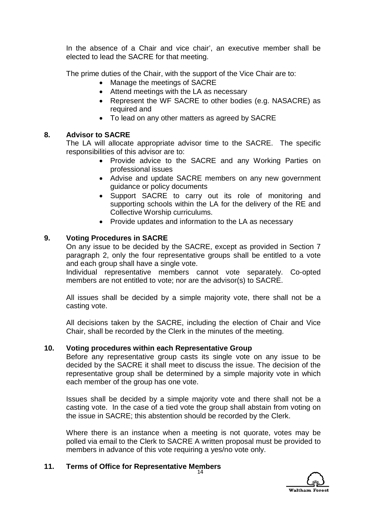In the absence of a Chair and vice chair', an executive member shall be elected to lead the SACRE for that meeting.

The prime duties of the Chair, with the support of the Vice Chair are to:

- Manage the meetings of SACRE
- Attend meetings with the LA as necessary
- Represent the WF SACRE to other bodies (e.g. NASACRE) as required and
- To lead on any other matters as agreed by SACRE

### **8. Advisor to SACRE**

The LA will allocate appropriate advisor time to the SACRE. The specific responsibilities of this advisor are to:

- Provide advice to the SACRE and any Working Parties on professional issues
- Advise and update SACRE members on any new government guidance or policy documents
- Support SACRE to carry out its role of monitoring and supporting schools within the LA for the delivery of the RE and Collective Worship curriculums.
- Provide updates and information to the LA as necessary

### **9. Voting Procedures in SACRE**

On any issue to be decided by the SACRE, except as provided in Section 7 paragraph 2, only the four representative groups shall be entitled to a vote and each group shall have a single vote.

Individual representative members cannot vote separately. Co-opted members are not entitled to vote; nor are the advisor(s) to SACRE.

All issues shall be decided by a simple majority vote, there shall not be a casting vote.

All decisions taken by the SACRE, including the election of Chair and Vice Chair, shall be recorded by the Clerk in the minutes of the meeting.

### **10. Voting procedures within each Representative Group**

Before any representative group casts its single vote on any issue to be decided by the SACRE it shall meet to discuss the issue. The decision of the representative group shall be determined by a simple majority vote in which each member of the group has one vote.

Issues shall be decided by a simple majority vote and there shall not be a casting vote. In the case of a tied vote the group shall abstain from voting on the issue in SACRE; this abstention should be recorded by the Clerk.

Where there is an instance when a meeting is not quorate, votes may be polled via email to the Clerk to SACRE A written proposal must be provided to members in advance of this vote requiring a yes/no vote only.

### **11. Terms of Office for Representative Members**

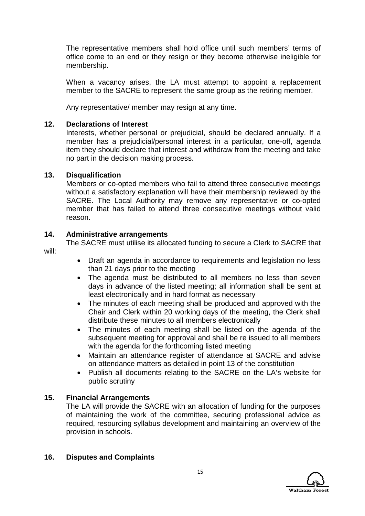The representative members shall hold office until such members' terms of office come to an end or they resign or they become otherwise ineligible for membership.

When a vacancy arises, the LA must attempt to appoint a replacement member to the SACRE to represent the same group as the retiring member.

Any representative/ member may resign at any time.

### **12. Declarations of Interest**

Interests, whether personal or prejudicial, should be declared annually. If a member has a prejudicial/personal interest in a particular, one-off, agenda item they should declare that interest and withdraw from the meeting and take no part in the decision making process.

### **13. Disqualification**

Members or co-opted members who fail to attend three consecutive meetings without a satisfactory explanation will have their membership reviewed by the SACRE. The Local Authority may remove any representative or co-opted member that has failed to attend three consecutive meetings without valid reason.

#### **14. Administrative arrangements**

The SACRE must utilise its allocated funding to secure a Clerk to SACRE that will:

- Draft an agenda in accordance to requirements and legislation no less than 21 days prior to the meeting
- The agenda must be distributed to all members no less than seven days in advance of the listed meeting; all information shall be sent at least electronically and in hard format as necessary
- The minutes of each meeting shall be produced and approved with the Chair and Clerk within 20 working days of the meeting, the Clerk shall distribute these minutes to all members electronically
- The minutes of each meeting shall be listed on the agenda of the subsequent meeting for approval and shall be re issued to all members with the agenda for the forthcoming listed meeting
- Maintain an attendance register of attendance at SACRE and advise on attendance matters as detailed in point 13 of the constitution
- Publish all documents relating to the SACRE on the LA's website for public scrutiny

### **15. Financial Arrangements**

The LA will provide the SACRE with an allocation of funding for the purposes of maintaining the work of the committee, securing professional advice as required, resourcing syllabus development and maintaining an overview of the provision in schools.

### **16. Disputes and Complaints**